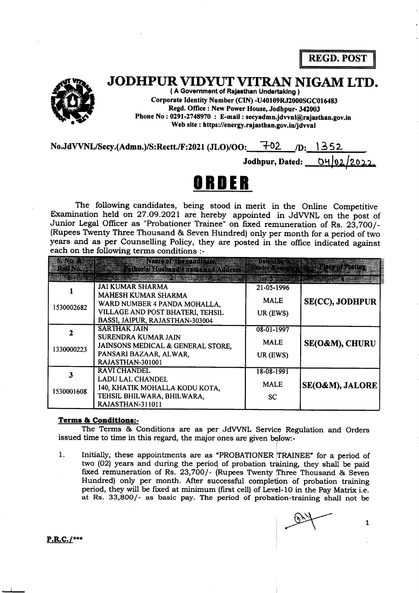REGD. POST



## JODHPUR VIDYUT VITRAN NIGAM LTD.

( A Government of Rafasthan Undertaklng ) Corporate Identity Number (CIN) -U40109RJ2000SGC016483 Regd. Office : New Power House, Jodhpur- 342003 Phone No : 0291-2748970 : E-mail : secyadmn.jdwnl@rajasthan.gov.in Web site : https://energy.rajasthan.gov.in/idvvnl

 $No.JdVVNL/Secy.(Admn.)/S:Rectt.F:2021(JLO)/OO:$   $\rightarrow$  02  $\rightarrow$  D.

Jodhpur, Dated:

## OBIIER

The following candidates, being stood in merit in the Online Competitive Examination held on27.O9.2O2L are hereby appointed in JdWNL on the post of Junior Legal Officer as "Probationer Trainee" on fixed remuneration of Rs. 23,700/-(Rupees Twenty Three Thousand & Seven Hundred) only per month for a period of two years and as per Counselling Policy, they are posted in the office indicated against each on the following terms conditions :-

|            | Maneo en 23 miliones.<br>Father of this band's maine and Address                                                                                             | 주변하지 전에 대한                             | <b>Religion Rasman</b> |
|------------|--------------------------------------------------------------------------------------------------------------------------------------------------------------|----------------------------------------|------------------------|
| 1530002682 | <b>JAI KUMAR SHARMA</b><br><b>MAHESH KUMAR SHARMA</b><br>WARD NUMBER 4 PANDA MOHALLA,<br>VILLAGE AND POST BHATERI, TEHSIL<br>BASSI, JAIPUR, RAJASTHAN-303004 | 21-05-1996<br><b>MALE</b><br>UR (EWS)  | <b>SE(CC), JODHPUR</b> |
| 1330000223 | <b>SARTHAK JAIN</b><br><b>SURENDRA KUMAR JAIN</b><br>JAINSONS MEDICAL & GENERAL STORE,<br>PANSARI BAZAAR, ALWAR,<br>RAJASTHAN-301001                         | 08-01-1997<br><b>MALE</b><br>UR (EWS)  | SE(O&M), CHURU         |
| 1530001608 | <b>RAVI CHANDEL</b><br><b>LADU LAL CHANDEL</b><br>140, KHATIK MOHALLA KODU KOTA,<br>TEHSIL BHILWARA, BHILWARA,<br><b>RAJASTHAN-311011</b>                    | 18-08-1991<br><b>MALE</b><br><b>SC</b> | SE(O&M), JALORE        |

## Terms & Conditions:-

The Terms & Conditions are as per JdWNL Service Regulation and Orders issued time to time in this regard, the major ones are given below:-

1. Initially, these appointments are as "PROBATIONER TRAINEE" for a period of two (02) years and during the period of probation training, they shall be paid fixed remuneration of Rs. 23,700/- (Rupees Twenty Three Thousand & Seven Hundred) only per month. After successful completion of probation training at Rs. 33,8OO/- as basic pay. The period of probation-training shall not be period, they will be fixed at minimum (first cell) of Level-10 in the Pay Matrix i.e.

 $P.R.C.$ /\*\*\*

 $\mathbf{1}$